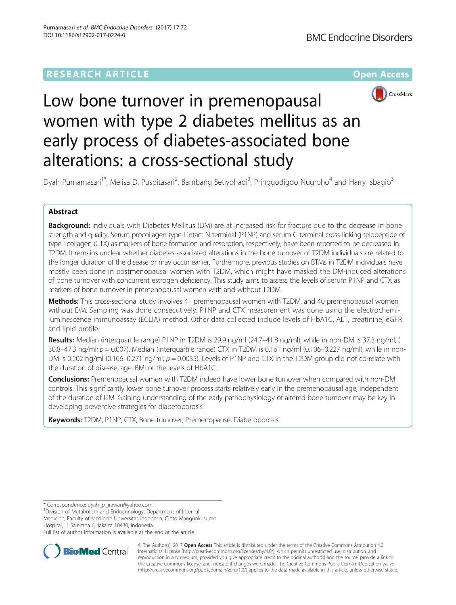# **RESEARCH ARTICLE Example 2014 12:30 The Contract of Contract Article 2014**



# Low bone turnover in premenopausal women with type 2 diabetes mellitus as an early process of diabetes-associated bone alterations: a cross-sectional study

Dyah Purnamasari<sup>1\*</sup>, Melisa D. Puspitasari<sup>2</sup>, Bambang Setiyohadi<sup>3</sup>, Pringgodigdo Nugroho<sup>4</sup> and Harry Isbagio<sup>3</sup>

# Abstract

Background: Individuals with Diabetes Mellitus (DM) are at increased risk for fracture due to the decrease in bone strength and quality. Serum procollagen type I intact N-terminal (P1NP) and serum C-terminal cross-linking telopeptide of type I collagen (CTX) as markers of bone formation and resorption, respectively, have been reported to be decreased in T2DM. It remains unclear whether diabetes-associated alterations in the bone turnover of T2DM individuals are related to the longer duration of the disease or may occur earlier. Furthermore, previous studies on BTMs in T2DM individuals have mostly been done in postmenopausal women with T2DM, which might have masked the DM-induced alterations of bone turnover with concurrent estrogen deficiency. This study aims to assess the levels of serum P1NP and CTX as markers of bone turnover in premenopausal women with and without T2DM.

Methods: This cross-sectional study involves 41 premenopausal women with T2DM, and 40 premenopausal women without DM. Sampling was done consecutively. P1NP and CTX measurement was done using the electrochemiluminescence immunoassay (ECLIA) method. Other data collected include levels of HbA1C, ALT, creatinine, eGFR and lipid profile.

Results: Median (interquartile range) P1NP in T2DM is 29.9 ng/ml (24.7–41.8 ng/ml), while in non-DM is 37.3 ng/ml, ( 30.8–47.3 ng/ml; p = 0.007). Median (interquartile range) CTX in T2DM is 0.161 ng/ml (0.106–0.227 ng/ml), while in non-DM is 0.202 ng/ml (0.166–0.271 ng/ml;  $p = 0.0035$ ). Levels of P1NP and CTX in the T2DM group did not correlate with the duration of disease, age, BMI or the levels of HbA1C.

Conclusions: Premenopausal women with T2DM indeed have lower bone turnover when compared with non-DM controls. This significantly lower bone turnover process starts relatively early in the premenopausal age, independent of the duration of DM. Gaining understanding of the early pathophysiology of altered bone turnover may be key in developing preventive strategies for diabetoporosis.

Keywords: T2DM, P1NP, CTX, Bone turnover, Premenopause, Diabetoporosis

\* Correspondence: [dyah\\_p\\_irawan@yahoo.com](mailto:dyah_p_irawan@yahoo.com) <sup>1</sup>

<sup>1</sup> Division of Metabolism and Endocrinology, Department of Internal

Medicine, Faculty of Medicine Universitas Indonesia, Cipto Mangunkusumo Hospital, Jl. Salemba 6, Jakarta 10430, Indonesia

Full list of author information is available at the end of the article



© The Author(s). 2017 **Open Access** This article is distributed under the terms of the Creative Commons Attribution 4.0 International License [\(http://creativecommons.org/licenses/by/4.0/](http://creativecommons.org/licenses/by/4.0/)), which permits unrestricted use, distribution, and reproduction in any medium, provided you give appropriate credit to the original author(s) and the source, provide a link to the Creative Commons license, and indicate if changes were made. The Creative Commons Public Domain Dedication waiver [\(http://creativecommons.org/publicdomain/zero/1.0/](http://creativecommons.org/publicdomain/zero/1.0/)) applies to the data made available in this article, unless otherwise stated.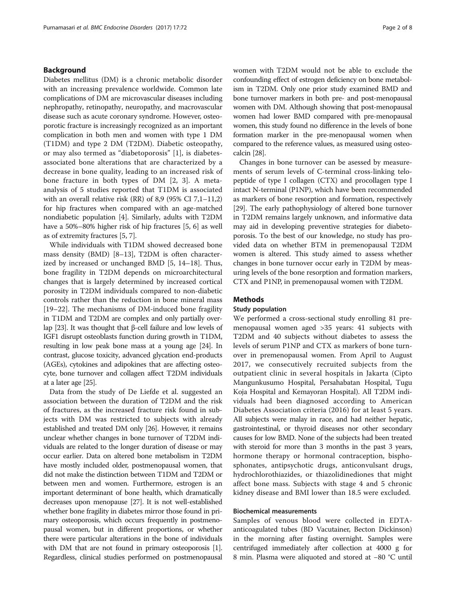# Background

Diabetes mellitus (DM) is a chronic metabolic disorder with an increasing prevalence worldwide. Common late complications of DM are microvascular diseases including nephropathy, retinopathy, neuropathy, and macrovascular disease such as acute coronary syndrome. However, osteoporotic fracture is increasingly recognized as an important complication in both men and women with type 1 DM (T1DM) and type 2 DM (T2DM). Diabetic osteopathy, or may also termed as "diabetoporosis" [\[1](#page-5-0)], is diabetesassociated bone alterations that are characterized by a decrease in bone quality, leading to an increased risk of bone fracture in both types of DM [[2](#page-5-0), [3\]](#page-5-0). A metaanalysis of 5 studies reported that T1DM is associated with an overall relative risk (RR) of 8,9 (95% CI 7,1–11,2) for hip fractures when compared with an age-matched nondiabetic population [\[4](#page-5-0)]. Similarly, adults with T2DM have a 50%–80% higher risk of hip fractures [\[5, 6](#page-5-0)] as well as of extremity fractures [\[5, 7](#page-5-0)].

While individuals with T1DM showed decreased bone mass density (BMD) [[8](#page-5-0)–[13\]](#page-5-0), T2DM is often characterized by increased or unchanged BMD [[5, 14](#page-5-0)–[18](#page-6-0)]. Thus, bone fragility in T2DM depends on microarchitectural changes that is largely determined by increased cortical porosity in T2DM individuals compared to non-diabetic controls rather than the reduction in bone mineral mass [[19](#page-6-0)–[22](#page-6-0)]. The mechanisms of DM-induced bone fragility in T1DM and T2DM are complex and only partially overlap [\[23\]](#page-6-0). It was thought that β-cell failure and low levels of IGF1 disrupt osteoblasts function during growth in T1DM, resulting in low peak bone mass at a young age [\[24\]](#page-6-0). In contrast, glucose toxicity, advanced glycation end-products (AGEs), cytokines and adipokines that are affecting osteocyte, bone turnover and collagen affect T2DM individuals at a later age [[25](#page-6-0)].

Data from the study of De Liefde et al. suggested an association between the duration of T2DM and the risk of fractures, as the increased fracture risk found in subjects with DM was restricted to subjects with already established and treated DM only [\[26\]](#page-6-0). However, it remains unclear whether changes in bone turnover of T2DM individuals are related to the longer duration of disease or may occur earlier. Data on altered bone metabolism in T2DM have mostly included older, postmenopausal women, that did not make the distinction between T1DM and T2DM or between men and women. Furthermore, estrogen is an important determinant of bone health, which dramatically decreases upon menopause [\[27\]](#page-6-0). It is not well-established whether bone fragility in diabetes mirror those found in primary osteoporosis, which occurs frequently in postmenopausal women, but in different proportions, or whether there were particular alterations in the bone of individuals with DM that are not found in primary osteoporosis [[1](#page-5-0)]. Regardless, clinical studies performed on postmenopausal women with T2DM would not be able to exclude the confounding effect of estrogen deficiency on bone metabolism in T2DM. Only one prior study examined BMD and bone turnover markers in both pre- and post-menopausal women with DM. Although showing that post-menopausal women had lower BMD compared with pre-menopausal women, this study found no difference in the levels of bone formation marker in the pre-menopausal women when compared to the reference values, as measured using osteocalcin [\[28](#page-6-0)].

Changes in bone turnover can be asessed by measurements of serum levels of C-terminal cross-linking telopeptide of type I collagen (CTX) and procollagen type I intact N-terminal (P1NP), which have been recommended as markers of bone resorption and formation, respectively [[29](#page-6-0)]. The early pathophysiology of altered bone turnover in T2DM remains largely unknown, and informative data may aid in developing preventive strategies for diabetoporosis. To the best of our knowledge, no study has provided data on whether BTM in premenopausal T2DM women is altered. This study aimed to assess whether changes in bone turnover occur early in T2DM by measuring levels of the bone resorption and formation markers, CTX and P1NP, in premenopausal women with T2DM.

# Methods

# Study population

We performed a cross-sectional study enrolling 81 premenopausal women aged >35 years: 41 subjects with T2DM and 40 subjects without diabetes to assess the levels of serum P1NP and CTX as markers of bone turnover in premenopausal women. From April to August 2017, we consecutively recruited subjects from the outpatient clinic in several hospitals in Jakarta (Cipto Mangunkusumo Hospital, Persahabatan Hospital, Tugu Koja Hospital and Kemayoran Hospital). All T2DM individuals had been diagnosed according to American Diabetes Association criteria (2016) for at least 5 years. All subjects were malay in race, and had neither hepatic, gastrointestinal, or thyroid diseases nor other secondary causes for low BMD. None of the subjects had been treated with steroid for more than 3 months in the past 3 years, hormone therapy or hormonal contraception, bisphosphonates, antipsychotic drugs, anticonvulsant drugs, hydrochlorothiazides, or thiazolidinediones that might affect bone mass. Subjects with stage 4 and 5 chronic kidney disease and BMI lower than 18.5 were excluded.

# Biochemical measurements

Samples of venous blood were collected in EDTAanticoagulated tubes (BD Vacutainer, Becton Dickinson) in the morning after fasting overnight. Samples were centrifuged immediately after collection at 4000 g for 8 min. Plasma were aliquoted and stored at −80 °C until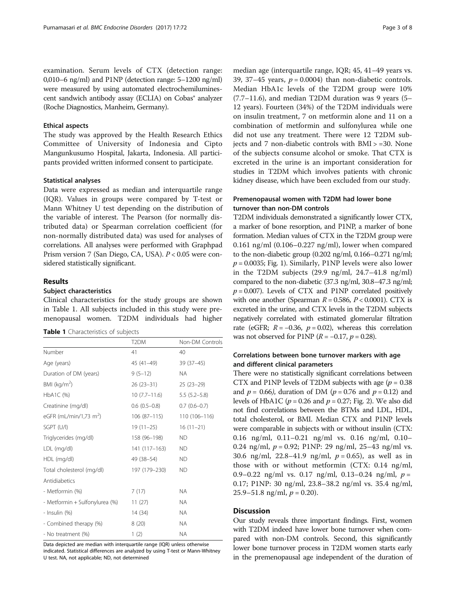examination. Serum levels of CTX (detection range: 0,010–6 ng/ml) and P1NP (detection range: 5–1200 ng/ml) were measured by using automated electrochemiluminescent sandwich antibody assay (ECLIA) on Cobas® analyzer (Roche Diagnostics, Manheim, Germany).

# Ethical aspects

The study was approved by the Health Research Ethics Committee of University of Indonesia and Cipto Mangunkusumo Hospital, Jakarta, Indonesia. All participants provided written informed consent to participate.

## Statistical analyses

Data were expressed as median and interquartile range (IQR). Values in groups were compared by T-test or Mann Whitney U test depending on the distribution of the variable of interest. The Pearson (for normally distributed data) or Spearman correlation coefficient (for non-normally distributed data) was used for analyses of correlations. All analyses were performed with Graphpad Prism version 7 (San Diego, CA, USA). P < 0.05 were considered statistically significant.

# Results

# Subject characteristics

Clinical characteristics for the study groups are shown in Table 1. All subjects included in this study were premenopausal women. T2DM individuals had higher

|  |  |  |  | Table 1 Characteristics of subjects |
|--|--|--|--|-------------------------------------|
|--|--|--|--|-------------------------------------|

|                                    | T <sub>2</sub> DM | Non-DM Controls  |
|------------------------------------|-------------------|------------------|
| Number                             | 41                | 40               |
| Age (years)                        | 45 (41-49)        | 39 (37-45)       |
| Duration of DM (years)             | $9(5-12)$         | <b>NA</b>        |
| BMI ( $kg/m2$ )                    | $26(23-31)$       | $25(23-29)$      |
| HbA1C (%)                          | $10(7.7-11.6)$    | $5.5(5.2 - 5.8)$ |
| Creatinine (mg/dl)                 | $0.6(0.5-0.8)$    | $0.7(0.6 - 0.7)$ |
| eGFR (mL/min/1,73 m <sup>2</sup> ) | 106 (87-115)      | 110 (106-116)    |
| SGPT (U/I)                         | $19(11-25)$       | $16(11-21)$      |
| Triglycerides (mg/dl)              | 158 (96-198)      | <b>ND</b>        |
| LDL (mg/dl)                        | 141 (117-163)     | <b>ND</b>        |
| HDL (mg/dl)                        | 49 (38-54)        | <b>ND</b>        |
| Total cholesterol (mg/dl)          | 197 (179-230)     | <b>ND</b>        |
| Antidiabetics                      |                   |                  |
| - Metformin (%)                    | 7(17)             | <b>NA</b>        |
| - Metformin + Sulfonylurea (%)     | 11(27)            | NA.              |
| - Insulin (%)                      | 14 (34)           | <b>NA</b>        |
| - Combined therapy (%)             | 8(20)             | <b>NA</b>        |
| - No treatment (%)                 | 1(2)              | <b>NA</b>        |

Data depicted are median with interquartile range (IQR) unless otherwise indicated. Statistical differences are analyzed by using T-test or Mann-Whitney U test. NA, not applicable; ND, not determined

median age (interquartile range, IQR; 45, 41–49 years vs. 39, 37–45 years,  $p = 0.0004$ ) than non-diabetic controls. Median HbA1c levels of the T2DM group were 10%  $(7.7–11.6)$ , and median T2DM duration was 9 years  $(5–11.6)$ 12 years). Fourteen (34%) of the T2DM individuals were on insulin treatment, 7 on metformin alone and 11 on a combination of metformin and sulfonylurea while one did not use any treatment. There were 12 T2DM subjects and 7 non-diabetic controls with BMI > =30. None of the subjects consume alcohol or smoke. That CTX is excreted in the urine is an important consideration for studies in T2DM which involves patients with chronic kidney disease, which have been excluded from our study.

# Premenopausal women with T2DM had lower bone turnover than non-DM controls

T2DM individuals demonstrated a significantly lower CTX, a marker of bone resorption, and P1NP, a marker of bone formation. Median values of CTX in the T2DM group were 0.161 ng/ml (0.106–0.227 ng/ml), lower when compared to the non-diabetic group (0.202 ng/ml, 0.166–0.271 ng/ml;  $p = 0.0035$ ; Fig. [1\)](#page-3-0). Similarly, P1NP levels were also lower in the T2DM subjects (29.9 ng/ml, 24.7–41.8 ng/ml) compared to the non-diabetic (37.3 ng/ml, 30.8–47.3 ng/ml;  $p = 0.007$ ). Levels of CTX and P1NP correlated positively with one another (Spearman  $R = 0.586$ ,  $P < 0.0001$ ). CTX is excreted in the urine, and CTX levels in the T2DM subjects negatively correlated with estimated glomerular filtration rate (eGFR;  $R = -0.36$ ,  $p = 0.02$ ), whereas this correlation was not observed for P1NP ( $R = -0.17$ ,  $p = 0.28$ ).

# Correlations between bone turnover markers with age and different clinical parameters

There were no statistically significant correlations between CTX and P1NP levels of T2DM subjects with age ( $p = 0.38$ ) and  $p = 0.66$ ), duration of DM ( $p = 0.76$  and  $p = 0.12$ ) and levels of HbA1C ( $p = 0.26$  and  $p = 0.27$ ; Fig. [2](#page-3-0)). We also did not find correlations between the BTMs and LDL, HDL, total cholesterol, or BMI. Median CTX and P1NP levels were comparable in subjects with or without insulin (CTX: 0.16 ng/ml, 0.11–0.21 ng/ml vs. 0.16 ng/ml, 0.10– 0.24 ng/ml,  $p = 0.92$ ; P1NP: 29 ng/ml, 25–43 ng/ml vs. 30.6 ng/ml, 22.8–41.9 ng/ml,  $p = 0.65$ ), as well as in those with or without metformin (CTX: 0.14 ng/ml, 0.9–0.22 ng/ml vs. 0.17 ng/ml, 0.13–0.24 ng/ml,  $p =$ 0.17; P1NP: 30 ng/ml, 23.8–38.2 ng/ml vs. 35.4 ng/ml, 25.9–51.8 ng/ml,  $p = 0.20$ ).

## **Discussion**

Our study reveals three important findings. First, women with T2DM indeed have lower bone turnover when compared with non-DM controls. Second, this significantly lower bone turnover process in T2DM women starts early in the premenopausal age independent of the duration of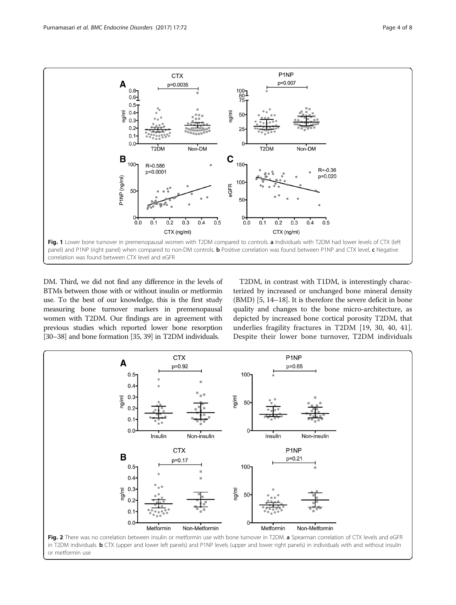<span id="page-3-0"></span>

DM. Third, we did not find any difference in the levels of BTMs between those with or without insulin or metformin use. To the best of our knowledge, this is the first study measuring bone turnover markers in premenopausal women with T2DM. Our findings are in agreement with previous studies which reported lower bone resorption [[30](#page-6-0)–[38](#page-6-0)] and bone formation [\[35, 39\]](#page-6-0) in T2DM individuals.

T2DM, in contrast with T1DM, is interestingly characterized by increased or unchanged bone mineral density (BMD) [[5](#page-5-0), [14](#page-5-0)–[18](#page-6-0)]. It is therefore the severe deficit in bone quality and changes to the bone micro-architecture, as depicted by increased bone cortical porosity T2DM, that underlies fragility fractures in T2DM [[19, 30, 40](#page-6-0), [41](#page-6-0)]. Despite their lower bone turnover, T2DM individuals



in T2DM individuals. **b** CTX (upper and lower left panels) and P1NP levels (upper and lower right panels) in individuals with and without insulin or metformin use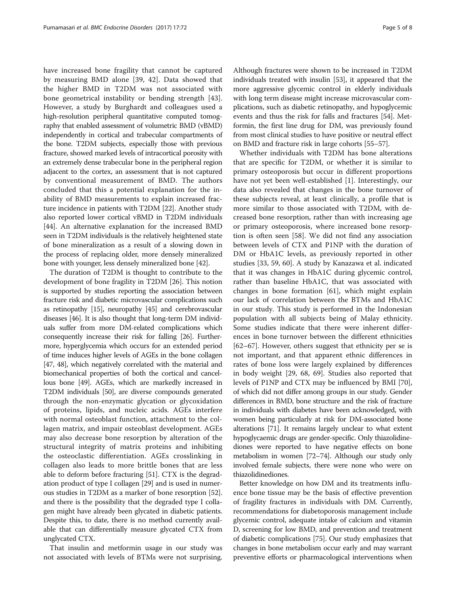have increased bone fragility that cannot be captured by measuring BMD alone [[39, 42\]](#page-6-0). Data showed that the higher BMD in T2DM was not associated with bone geometrical instability or bending strength [\[43](#page-6-0)]. However, a study by Burghardt and colleagues used a high-resolution peripheral quantitative computed tomography that enabled assessment of volumetric BMD (vBMD) independently in cortical and trabecular compartments of the bone. T2DM subjects, especially those with previous fracture, showed marked levels of intracortical porosity with an extremely dense trabecular bone in the peripheral region adjacent to the cortex, an assessment that is not captured by conventional measurement of BMD. The authors concluded that this a potential explanation for the inability of BMD measurements to explain increased fracture incidence in patients with T2DM [\[22\]](#page-6-0). Another study also reported lower cortical vBMD in T2DM individuals [[44](#page-6-0)]. An alternative explanation for the increased BMD seen in T2DM individuals is the relatively heightened state of bone mineralization as a result of a slowing down in the process of replacing older, more densely mineralized bone with younger, less densely mineralized bone [\[42\]](#page-6-0).

The duration of T2DM is thought to contribute to the development of bone fragility in T2DM [[26\]](#page-6-0). This notion is supported by studies reporting the association between fracture risk and diabetic microvascular complications such as retinopathy [[15](#page-5-0)], neuropathy [\[45](#page-6-0)] and cerebrovascular diseases [[46](#page-6-0)]. It is also thought that long-term DM individuals suffer from more DM-related complications which consequently increase their risk for falling [[26](#page-6-0)]. Furthermore, hyperglycemia which occurs for an extended period of time induces higher levels of AGEs in the bone collagen [[47](#page-6-0), [48\]](#page-6-0), which negatively correlated with the material and biomechanical properties of both the cortical and cancellous bone [\[49](#page-6-0)]. AGEs, which are markedly increased in T2DM individuals [[50](#page-6-0)], are diverse compounds generated through the non-enzymatic glycation or glycoxidation of proteins, lipids, and nucleic acids. AGEs interfere with normal osteoblast function, attachment to the collagen matrix, and impair osteoblast development. AGEs may also decrease bone resorption by alteration of the structural integrity of matrix proteins and inhibiting the osteoclastic differentiation. AGEs crosslinking in collagen also leads to more brittle bones that are less able to deform before fracturing [\[51](#page-6-0)]. CTX is the degradation product of type I collagen [[29](#page-6-0)] and is used in numerous studies in T2DM as a marker of bone resorption [[52](#page-6-0)]. and there is the possibility that the degraded type I collagen might have already been glycated in diabetic patients. Despite this, to date, there is no method currently available that can differentially measure glycated CTX from unglycated CTX.

That insulin and metformin usage in our study was not associated with levels of BTMs were not surprising.

Although fractures were shown to be increased in T2DM individuals treated with insulin [\[53](#page-6-0)], it appeared that the more aggressive glycemic control in elderly individuals with long term disease might increase microvascular complications, such as diabetic retinopathy, and hypoglycemic events and thus the risk for falls and fractures [[54](#page-6-0)]. Metformin, the first line drug for DM, was previously found from most clinical studies to have positive or neutral effect on BMD and fracture risk in large cohorts [[55](#page-6-0)–[57\]](#page-6-0).

Whether individuals with T2DM has bone alterations that are specific for T2DM, or whether it is similar to primary osteoporosis but occur in different proportions have not yet been well-established [[1\]](#page-5-0). Interestingly, our data also revealed that changes in the bone turnover of these subjects reveal, at least clinically, a profile that is more similar to those associated with T2DM, with decreased bone resorption, rather than with increasing age or primary osteoporosis, where increased bone resorption is often seen [[58](#page-6-0)]. We did not find any association between levels of CTX and P1NP with the duration of DM or HbA1C levels, as previously reported in other studies [\[33, 59, 60\]](#page-6-0). A study by Kanazawa et al. indicated that it was changes in HbA1C during glycemic control, rather than baseline HbA1C, that was associated with changes in bone formation [[61\]](#page-7-0), which might explain our lack of correlation between the BTMs and HbA1C in our study. This study is performed in the Indonesian population with all subjects being of Malay ethnicity. Some studies indicate that there were inherent differences in bone turnover between the different ethnicities [[62](#page-7-0)–[67](#page-7-0)]. However, others suggest that ethnicity per se is not important, and that apparent ethnic differences in rates of bone loss were largely explained by differences in body weight [\[29](#page-6-0), [68, 69\]](#page-7-0). Studies also reported that levels of P1NP and CTX may be influenced by BMI [\[70](#page-7-0)], of which did not differ among groups in our study. Gender differences in BMD, bone structure and the risk of fracture in individuals with diabetes have been acknowledged, with women being particularly at risk for DM-associated bone alterations [\[71\]](#page-7-0). It remains largely unclear to what extent hypoglycaemic drugs are gender-specific. Only thiazolidinediones were reported to have negative effects on bone metabolism in women [\[72](#page-7-0)–[74\]](#page-7-0). Although our study only involved female subjects, there were none who were on thiazolidinediones.

Better knowledge on how DM and its treatments influence bone tissue may be the basis of effective prevention of fragility fractures in individuals with DM. Currently, recommendations for diabetoporosis management include glycemic control, adequate intake of calcium and vitamin D, screening for low BMD, and prevention and treatment of diabetic complications [\[75\]](#page-7-0). Our study emphasizes that changes in bone metabolism occur early and may warrant preventive efforts or pharmacological interventions when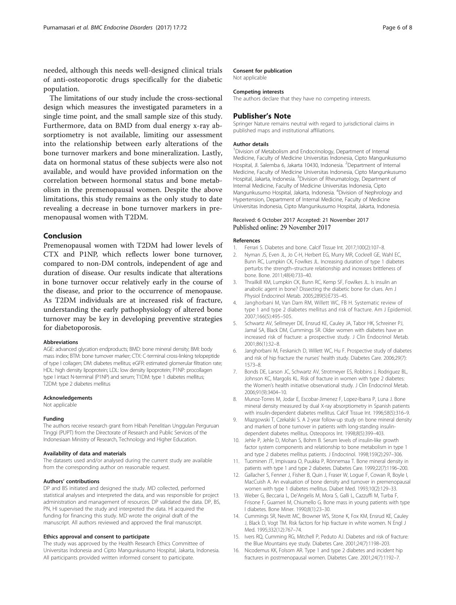<span id="page-5-0"></span>needed, although this needs well-designed clinical trials of anti-osteoporotic drugs specifically for the diabetic population.

The limitations of our study include the cross-sectional design which measures the investigated parameters in a single time point, and the small sample size of this study. Furthermore, data on BMD from dual energy x-ray absorptiometry is not available, limiting our assessment into the relationship between early alterations of the bone turnover markers and bone mineralization. Lastly, data on hormonal status of these subjects were also not available, and would have provided information on the correlation between hormonal status and bone metabolism in the premenopausal women. Despite the above limitations, this study remains as the only study to date revealing a decrease in bone turnover markers in premenopausal women with T2DM.

# Conclusion

Premenopausal women with T2DM had lower levels of CTX and P1NP, which reflects lower bone turnover, compared to non-DM controls, independent of age and duration of disease. Our results indicate that alterations in bone turnover occur relatively early in the course of the disease, and prior to the occurrence of menopause. As T2DM individuals are at increased risk of fracture, understanding the early pathophysiology of altered bone turnover may be key in developing preventive strategies for diabetoporosis.

#### Abbreviations

AGE: advanced glycation endproducts; BMD: bone mineral density; BMI: body mass index; BTM: bone turnover marker; CTX: C-terminal cross-linking telopeptide of type I collagen; DM: diabetes mellitus; eGFR: estimated glomerular filtration rate; HDL: high density lipoprotein; LDL: low density lipoprotein; P1NP: procollagen type I intact N-terminal (P1NP) and serum; T1DM: type 1 diabetes mellitus; T2DM: type 2 diabetes mellitus

#### Acknowledgements

Not applicable

#### Funding

The authors receive research grant from Hibah Penelitian Unggulan Perguruan Tinggi (PUPT) from the Directorate of Research and Public Services of the Indonesiaan Ministry of Research, Technology and Higher Education.

#### Availability of data and materials

The datasets used and/or analysed during the current study are available from the corresponding author on reasonable request.

#### Authors' contributions

DP and BS initiated and designed the study. MD collected, performed statistical analyses and interpreted the data, and was responsible for project administration and management of resources. DP validated the data. DP, BS, PN, HI supervised the study and interpreted the data. HI acquired the funding for financing this study. MD wrote the original draft of the manuscript. All authors reviewed and approved the final manuscript.

#### Ethics approval and consent to participate

The study was approved by the Health Research Ethics Committee of Universitas Indonesia and Cipto Mangunkusumo Hospital, Jakarta, Indonesia. All participants provided written informed consent to participate.

#### Consent for publication

Not applicable

#### Competing interests

The authors declare that they have no competing interests.

#### Publisher's Note

Springer Nature remains neutral with regard to jurisdictional claims in published maps and institutional affiliations.

#### Author details

<sup>1</sup> Division of Metabolism and Endocrinology, Department of Internal Medicine, Faculty of Medicine Universitas Indonesia, Cipto Mangunkusumo Hospital, Jl. Salemba 6, Jakarta 10430, Indonesia. <sup>2</sup>Department of Internal Medicine, Faculty of Medicine Universitas Indonesia, Cipto Mangunkusumo Hospital, Jakarta, Indonesia. <sup>3</sup> Division of Rheumatology, Department of Internal Medicine, Faculty of Medicine Universitas Indonesia, Cipto Mangunkusumo Hospital, Jakarta, Indonesia. <sup>4</sup> Division of Nephrology and Hypertension, Department of Internal Medicine, Faculty of Medicine Universitas Indonesia, Cipto Mangunkusumo Hospital, Jakarta, Indonesia.

## Received: 6 October 2017 Accepted: 21 November 2017 Published online: 29 November 2017

#### References

- 1. Ferrari S. Diabetes and bone. Calcif Tissue Int. 2017;100(2):107–8.
- 2. Nyman JS, Even JL, Jo C-H, Herbert EG, Murry MR, Cockrell GE, Wahl EC, Bunn RC, Lumpkin CK, Fowlkes JL. Increasing duration of type 1 diabetes perturbs the strength–structure relationship and increases brittleness of bone. Bone. 2011;48(4):733–40.
- 3. Thrailkill KM, Lumpkin CK, Bunn RC, Kemp SF, Fowlkes JL. Is insulin an anabolic agent in bone? Dissecting the diabetic bone for clues. Am J Physiol Endocrinol Metab. 2005;289(5):E735–45.
- 4. Janghorbani M, Van Dam RM, Willett WC, FB H. Systematic review of type 1 and type 2 diabetes mellitus and risk of fracture. Am J Epidemiol. 2007;166(5):495–505.
- 5. Schwartz AV, Sellmeyer DE, Ensrud KE, Cauley JA, Tabor HK, Schreiner PJ, Jamal SA, Black DM, Cummings SR. Older women with diabetes have an increased risk of fracture: a prospective study. J Clin Endocrinol Metab. 2001;86(1):32–8.
- 6. Janghorbani M, Feskanich D, Willett WC, Hu F. Prospective study of diabetes and risk of hip fracture the nurses' health study. Diabetes Care. 2006;29(7): 1573–8.
- 7. Bonds DE, Larson JC, Schwartz AV, Strotmeyer ES, Robbins J, Rodriguez BL, Johnson KC, Margolis KL. Risk of fracture in women with type 2 diabetes: the Women's health initiative observational study. J Clin Endocrinol Metab. 2006;91(9):3404–10.
- 8. Munoz-Torres M, Jodar E, Escobar-Jimenez F, Lopez-Ibarra P, Luna J. Bone mineral density measured by dual X-ray absorptiometry in Spanish patients with insulin-dependent diabetes mellitus. Calcif Tissue Int. 1996;58(5):316–9.
- 9. Miazgowski T, Czekalski S. A 2-year follow-up study on bone mineral density and markers of bone turnover in patients with long-standing insulindependent diabetes mellitus. Osteoporos Int. 1998;8(5):399–403.
- 10. Jehle P, Jehle D, Mohan S, Bohm B. Serum levels of insulin-like growth factor system components and relationship to bone metabolism in type 1 and type 2 diabetes mellitus patients. J Endocrinol. 1998;159(2):297–306.
- 11. Tuominen JT, Impivaara O, Puukka P, Rönnemaa T. Bone mineral density in patients with type 1 and type 2 diabetes. Diabetes Care. 1999;22(7):1196–200.
- 12. Gallacher S, Fenner J, Fisher B, Quin J, Fraser W, Logue F, Cowan R, Boyle I, MacCuish A. An evaluation of bone density and turnover in premenopausal women with type 1 diabetes mellitus. Diabet Med. 1993;10(2):129–33.
- 13. Weber G, Beccaria L, De'Angelis M, Mora S, Galli L, Cazzuffi M, Turba F, Frisone F, Guarneri M, Chiumello G. Bone mass in young patients with type I diabetes. Bone Miner. 1990;8(1):23–30.
- 14. Cummings SR, Nevitt MC, Browner WS, Stone K, Fox KM, Ensrud KE, Cauley J, Black D, Vogt TM. Risk factors for hip fracture in white women. N Engl J Med. 1995;332(12):767–74.
- 15. Ivers RQ, Cumming RG, Mitchell P, Peduto AJ. Diabetes and risk of fracture: the Blue Mountains eye study. Diabetes Care. 2001;24(7):1198–203.
- 16. Nicodemus KK, Folsom AR. Type 1 and type 2 diabetes and incident hip fractures in postmenopausal women. Diabetes Care. 2001;24(7):1192–7.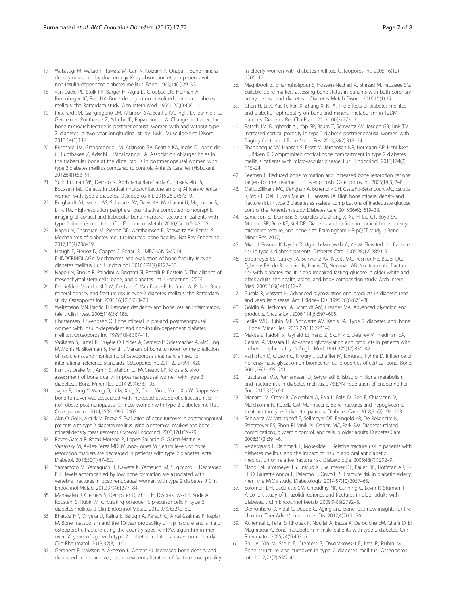- <span id="page-6-0"></span>17. Wakasugi M, Wakao R, Tawata M, Gan N, Koizumi K, Onaya T. Bone mineral density measured by dual energy X-ray absorptiometry in patients with non-insulin-dependent diabetes mellitus. Bone. 1993;14(1):29–33.
- 18. van Daele PL, Stolk RP, Burger H, Algra D, Grobbee DE, Hofman A, Birkenhager JC, Pols HA. Bone density in non-insulin-dependent diabetes mellitus: the Rotterdam study. Ann Intern Med. 1995;122(6):409–14.
- 19. Pritchard JM, Giangregorio LM, Atkinson SA, Beattie KA, Inglis D, Ioannidis G, Gerstein H, Punthakee Z, Adachi JD, Papaioannou A. Changes in trabecular bone microarchitecture in postmenopausal women with and without type 2 diabetes: a two year longitudinal study. BMC Musculoskelet Disord. 2013;14(1):114.
- 20. Pritchard JM, Giangregorio LM, Atkinson SA, Beattie KA, Inglis D, Ioannidis G, Punthakee Z, Adachi J, Papaioannou A. Association of larger holes in the trabecular bone at the distal radius in postmenopausal women with type 2 diabetes mellitus compared to controls. Arthritis Care Res (Hoboken). 2012;64(1):83–91.
- 21. Yu E, Putman MS, Derrico N, Abrishamanian-Garcia G, Finkelstein JS, Bouxsein ML. Defects in cortical microarchitecture among African-American women with type 2 diabetes. Osteoporos Int. 2015;26(2):673–9.
- 22. Burghardt AJ, Issever AS, Schwartz AV, Davis KA, Masharani U, Majumdar S, Link TM. High-resolution peripheral quantitative computed tomographic imaging of cortical and trabecular bone microarchitecture in patients with type 2 diabetes mellitus. J Clin Endocrinol Metab. 2010;95(11):5045–55.
- 23. Napoli N, Chandran M, Pierroz DD, Abrahamsen B, Schwartz AV, Ferrari SL. Mechanisms of diabetes mellitus-induced bone fragility. Nat Rev Endocrinol. 2017;13(4):208–19.
- 24. Hough F, Pierroz D, Cooper C, Ferrari SL. MECHANISMS IN ENDOCRINOLOGY: Mechanisms and evaluation of bone fragility in type 1 diabetes mellitus. Eur J Endocrinol. 2016;174(4):R127–38.
- 25. Napoli N, Strollo R, Paladini A, Briganti SI, Pozzilli P, Epstein S. The alliance of mesenchymal stem cells, bone, and diabetes. Int J Endocrinol. 2014;
- 26. De Liefde I, Van der Klift M, De Laet C, Van Daele P, Hofman A, Pols H. Bone mineral density and fracture risk in type-2 diabetes mellitus: the Rotterdam study. Osteoporos Int. 2005;16(12):1713–20.
- 27. Weitzmann MN, Pacifici R. Estrogen deficiency and bone loss: an inflammatory tale. J Clin Invest. 2006;116(5):1186.
- 28. Christensen J, Svendsen O. Bone mineral in pre-and postmenopausal women with insulin-dependent and non-insulin-dependent diabetes mellitus. Osteoporos Int. 1999;10(4):307–11.
- 29. Vasikaran S, Eastell R, Bruyère O, Foldes A, Garnero P, Griesmacher A, McClung M, Morris H, Silverman S, Trenti T. Markers of bone turnover for the prediction of fracture risk and monitoring of osteoporosis treatment: a need for international reference standards. Osteoporos Int. 2011;22(2):391–420.
- 30. Farr JN, Drake MT, Amin S, Melton LJ, McCready LK, Khosla S. Vivo assessment of bone quality in postmenopausal women with type 2 diabetes. J Bone Miner Res. 2014;29(4):787–95.
- 31. Jiajue R, Jiang Y, Wang O, Li M, Xing X, Cui L, Yin J, Xu L, Xia W. Suppressed bone turnover was associated with increased osteoporotic fracture risks in non-obese postmenopausal Chinese women with type 2 diabetes mellitus. Osteoporos Int. 2014;25(8):1999–2005.
- 32. Akin O, Göl K, Aktürk M, Erkaya S. Evaluation of bone turnover in postmenopausal patients with type 2 diabetes mellitus using biochemical markers and bone mineral density measurements. Gynecol Endocrinol. 2003;17(1):19–29.
- 33. Reyes-Garcia R, Rozas-Moreno P, Lopez-Gallardo G, Garcia-Martin A, Varsavsky M, Aviles-Perez MD, Munoz-Torres M. Serum levels of bone resorption markers are decreased in patients with type 2 diabetes. Acta Diabetol. 2013;50(1):47–52.
- 34. Yamamoto M, Yamaguchi T, Nawata K, Yamauchi M, Sugimoto T. Decreased PTH levels accompanied by low bone formation are associated with vertebral fractures in postmenopausal women with type 2 diabetes. J Clin Endocrinol Metab. 2012;97(4):1277–84.
- 35. Manavalan J, Cremers S, Dempster D, Zhou H, Dworakowski E, Kode A, Kousteni S, Rubin M. Circulating osteogenic precursor cells in type 2 diabetes mellitus. J Clin Endocrinol Metab. 2012;97(9):3240–50.
- 36. Bhattoa HP, Onyeka U, Kalina E, Balogh A, Paragh G, Antal-Szalmas P, Kaplar M. Bone metabolism and the 10-year probability of hip fracture and a major osteoporotic fracture using the country-specific FRAX algorithm in men over 50 years of age with type 2 diabetes mellitus: a case-control study. Clin Rheumatol. 2013;32(8):1161.
- 37. Gerdhem P, Isaksson A, Åkesson K, Obrant KJ. Increased bone density and decreased bone turnover, but no evident alteration of fracture susceptibility

in elderly women with diabetes mellitus. Osteoporos Int. 2005;16(12): 1506–12.

- 38. Maghbooli Z, Emamgholipour S, Hossein-Nezhad A, Shirzad M, Firuzjaee SG. Suitable bone markers assessing bone status in patients with both coronary artery disease and diabetes. J Diabetes Metab Disord. 2016;15(1):35.
- 39. Chen H, Li X, Yue R, Ren X, Zhang X, Ni A. The effects of diabetes mellitus and diabetic nephropathy on bone and mineral metabolism in T2DM patients. Diabetes Res Clin Pract. 2013;100(2):272–6.
- 40. Patsch JM, Burghardt AJ, Yap SP, Baum T, Schwartz AV, Joseph GB, Link TM. Increased cortical porosity in type 2 diabetic postmenopausal women with fragility fractures. J Bone Miner Res. 2013;28(2):313–24.
- 41. Shanbhogue VV, Hansen S, Frost M, Jørgensen NR, Hermann AP, Henriksen JE, Brixen K. Compromised cortical bone compartment in type 2 diabetes mellitus patients with microvascular disease. Eur J Endocrinol. 2016;174(2): 115–24.
- 42. Seeman E. Reduced bone formation and increased bone resorption: rational targets for the treatment of osteoporosis. Osteoporos Int. 2003;14(3):2–8.
- 43. Oei L, Zillikens MC, Dehghan A, Buitendijk GH, Castaño-Betancourt MC, Estrada K, Stolk L, Oei EH, van Meurs JB, Janssen JA. High bone mineral density and fracture risk in type 2 diabetes as skeletal complications of inadequate glucose control the Rotterdam study. Diabetes Care. 2013;36(6):1619–28.
- 44. Samelson EJ, Demissie S, Cupples LA, Zhang X, Xu H, Liu CT, Boyd SK, McLean RR, Broe KE, Kiel DP. Diabetes and deficits in cortical bone density, microarchitecture, and bone size: Framingham HR-pQCT study. J Bone Miner Res. 2017;
- 45. Miao J, Brismar K, Nyrén O, Ugarph-Morawski A, Ye W. Elevated hip fracture risk in type 1 diabetic patients. Diabetes Care. 2005;28(12):2850–5.
- 46. Strotmeyer ES, Cauley JA, Schwartz AV, Nevitt MC, Resnick HE, Bauer DC, Tylavsky FA, de Rekeneire N, Harris TB, Newman AB. Nontraumatic fracture risk with diabetes mellitus and impaired fasting glucose in older white and black adults: the health, aging, and body composition study. Arch Intern Med. 2005;165(14):1612–7.
- 47. Bucala R, Vlassara H. Advanced glycosylation end products in diabetic renal and vascular disease. Am J Kidney Dis. 1995;26(6):875–88.
- 48. Goldin A, Beckman JA, Schmidt AM, Creager MA. Advanced glycation end products. Circulation. 2006;114(6):597–605.
- 49. Leslie WD, Rubin MR, Schwartz AV, Kanis JA. Type 2 diabetes and bone. J Bone Miner Res. 2012;27(11):2231–7.
- 50. Makita Z, Radoff S, Rayfield EJ, Yang Z, Skolnik E, Delaney V, Friedman EA, Cerami A, Vlassara H. Advanced glycosylation end products in patients with diabetic nephropathy. N Engl J Med. 1991;325(12):836–42.
- 51. Vashishth D, Gibson G, Khoury J, Schaffler M, Kimura J, Fyhrie D. Influence of nonenzymatic glycation on biomechanical properties of cortical bone. Bone. 2001;28(2):195–201.
- 52. Puspitasari MD, Purnamasari D, Setyohadi B, Isbagio H. Bone metabolism and fracture risk in diabetes mellitus. J ASEAN Federation of Endocrine For Soc. 2017;32(2):90.
- 53. Monami M, Cresci B, Colombini A, Pala L, Balzi D, Gori F, Chiasserini V, Marchionni N, Rotella CM, Mannucci E. Bone fractures and hypoglycemic treatment in type 2 diabetic patients. Diabetes Care. 2008;31(2):199–203.
- 54. Schwartz AV, Vittinghoff E, Sellmeyer DE, Feingold KR, De Rekeneire N, Strotmeyer ES, Shorr RI, Vinik AI, Odden MC, Park SW. Diabetes-related complications, glycemic control, and falls in older adults. Diabetes Care. 2008;31(3):391–6.
- 55. Vestergaard P, Rejnmark L, Mosekilde L. Relative fracture risk in patients with diabetes mellitus, and the impact of insulin and oral antidiabetic medication on relative fracture risk. Diabetologia. 2005;48(7):1292–9.
- 56. Napoli N, Strotmeyer ES, Ensrud KE, Sellmeyer DE, Bauer DC, Hoffman AR, T-TL D, Barrett-Connor E, Palermo L, Orwoll ES. Fracture risk in diabetic elderly men: the MrOS study. Diabetologia. 2014;57(10):2057–65.
- 57. Solomon DH, Cadarette SM, Choudhry NK, Canning C, Levin R, Sturmer T. A cohort study of thiazolidinediones and fractures in older adults with diabetes. J Clin Endocrinol Metab. 2009;94(8):2792–8.
- 58. Demontiero O, Vidal C, Duque G. Aging and bone loss: new insights for the clinician. Ther Adv Musculoskelet Dis. 2012;4(2):61–76.
- 59. Achemlal L, Tellal S, Rkiouak F, Nouijai A, Bezza A, Derouiche EM, Ghafir D, El Maghraoui A. Bone metabolism in male patients with type 2 diabetes. Clin Rheumatol. 2005;24(5):493–6.
- 60. Shu A, Yin M, Stein E, Cremers S, Dworakowski E, Ives R, Rubin M. Bone structure and turnover in type 2 diabetes mellitus. Osteoporos Int. 2012;23(2):635–41.